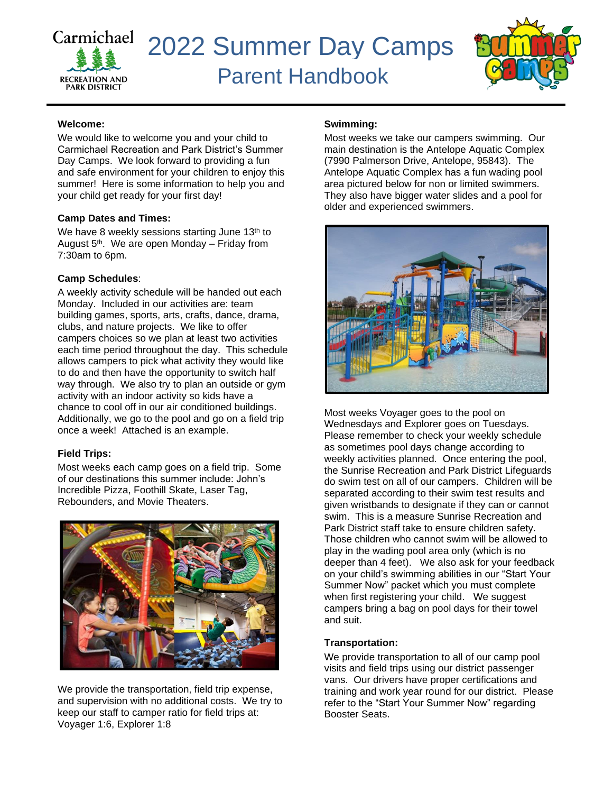



#### **Welcome:**

We would like to welcome you and your child to Carmichael Recreation and Park District's Summer Day Camps. We look forward to providing a fun and safe environment for your children to enjoy this summer! Here is some information to help you and your child get ready for your first day!

#### **Camp Dates and Times:**

We have 8 weekly sessions starting June 13<sup>th</sup> to August 5<sup>th</sup>. We are open Monday – Friday from 7:30am to 6pm.

#### **Camp Schedules**:

A weekly activity schedule will be handed out each Monday. Included in our activities are: team building games, sports, arts, crafts, dance, drama, clubs, and nature projects. We like to offer campers choices so we plan at least two activities each time period throughout the day. This schedule allows campers to pick what activity they would like to do and then have the opportunity to switch half way through. We also try to plan an outside or gym activity with an indoor activity so kids have a chance to cool off in our air conditioned buildings. Additionally, we go to the pool and go on a field trip once a week! Attached is an example.

#### **Field Trips:**

Most weeks each camp goes on a field trip. Some of our destinations this summer include: John's Incredible Pizza, Foothill Skate, Laser Tag, Rebounders, and Movie Theaters.



We provide the transportation, field trip expense, and supervision with no additional costs. We try to keep our staff to camper ratio for field trips at: Voyager 1:6, Explorer 1:8

#### **Swimming:**

Most weeks we take our campers swimming. Our main destination is the Antelope Aquatic Complex (7990 Palmerson Drive, Antelope, 95843). The Antelope Aquatic Complex has a fun wading pool area pictured below for non or limited swimmers. They also have bigger water slides and a pool for older and experienced swimmers.



Most weeks Voyager goes to the pool on Wednesdays and Explorer goes on Tuesdays. Please remember to check your weekly schedule as sometimes pool days change according to weekly activities planned. Once entering the pool, the Sunrise Recreation and Park District Lifeguards do swim test on all of our campers. Children will be separated according to their swim test results and given wristbands to designate if they can or cannot swim. This is a measure Sunrise Recreation and Park District staff take to ensure children safety. Those children who cannot swim will be allowed to play in the wading pool area only (which is no deeper than 4 feet). We also ask for your feedback on your child's swimming abilities in our "Start Your Summer Now" packet which you must complete when first registering your child. We suggest campers bring a bag on pool days for their towel and suit.

#### **Transportation:**

We provide transportation to all of our camp pool visits and field trips using our district passenger vans. Our drivers have proper certifications and training and work year round for our district. Please refer to the "Start Your Summer Now" regarding Booster Seats.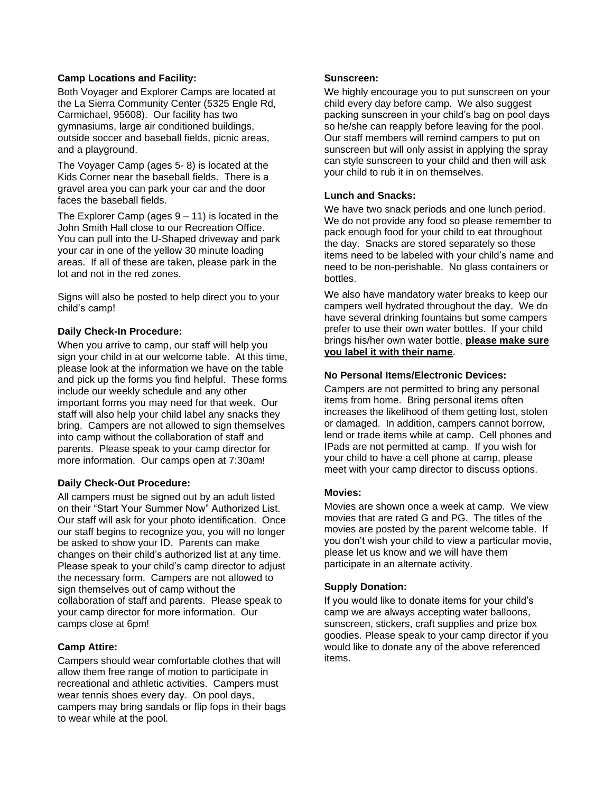#### **Camp Locations and Facility:**

Both Voyager and Explorer Camps are located at the La Sierra Community Center (5325 Engle Rd, Carmichael, 95608). Our facility has two gymnasiums, large air conditioned buildings, outside soccer and baseball fields, picnic areas, and a playground.

The Voyager Camp (ages 5- 8) is located at the Kids Corner near the baseball fields. There is a gravel area you can park your car and the door faces the baseball fields.

The Explorer Camp (ages  $9 - 11$ ) is located in the John Smith Hall close to our Recreation Office. You can pull into the U-Shaped driveway and park your car in one of the yellow 30 minute loading areas. If all of these are taken, please park in the lot and not in the red zones.

Signs will also be posted to help direct you to your child's camp!

#### **Daily Check-In Procedure:**

When you arrive to camp, our staff will help you sign your child in at our welcome table. At this time, please look at the information we have on the table and pick up the forms you find helpful. These forms include our weekly schedule and any other important forms you may need for that week. Our staff will also help your child label any snacks they bring. Campers are not allowed to sign themselves into camp without the collaboration of staff and parents. Please speak to your camp director for more information. Our camps open at 7:30am!

#### **Daily Check-Out Procedure:**

All campers must be signed out by an adult listed on their "Start Your Summer Now" Authorized List. Our staff will ask for your photo identification. Once our staff begins to recognize you, you will no longer be asked to show your ID. Parents can make changes on their child's authorized list at any time. Please speak to your child's camp director to adjust the necessary form. Campers are not allowed to sign themselves out of camp without the collaboration of staff and parents. Please speak to your camp director for more information. Our camps close at 6pm!

#### **Camp Attire:**

Campers should wear comfortable clothes that will allow them free range of motion to participate in recreational and athletic activities. Campers must wear tennis shoes every day. On pool days, campers may bring sandals or flip fops in their bags to wear while at the pool.

#### **Sunscreen:**

We highly encourage you to put sunscreen on your child every day before camp. We also suggest packing sunscreen in your child's bag on pool days so he/she can reapply before leaving for the pool. Our staff members will remind campers to put on sunscreen but will only assist in applying the spray can style sunscreen to your child and then will ask your child to rub it in on themselves.

#### **Lunch and Snacks:**

We have two snack periods and one lunch period. We do not provide any food so please remember to pack enough food for your child to eat throughout the day. Snacks are stored separately so those items need to be labeled with your child's name and need to be non-perishable. No glass containers or bottles.

We also have mandatory water breaks to keep our campers well hydrated throughout the day. We do have several drinking fountains but some campers prefer to use their own water bottles. If your child brings his/her own water bottle, **please make sure you label it with their name**.

#### **No Personal Items/Electronic Devices:**

Campers are not permitted to bring any personal items from home. Bring personal items often increases the likelihood of them getting lost, stolen or damaged. In addition, campers cannot borrow, lend or trade items while at camp. Cell phones and IPads are not permitted at camp. If you wish for your child to have a cell phone at camp, please meet with your camp director to discuss options.

#### **Movies:**

Movies are shown once a week at camp. We view movies that are rated G and PG. The titles of the movies are posted by the parent welcome table. If you don't wish your child to view a particular movie, please let us know and we will have them participate in an alternate activity.

#### **Supply Donation:**

If you would like to donate items for your child's camp we are always accepting water balloons, sunscreen, stickers, craft supplies and prize box goodies. Please speak to your camp director if you would like to donate any of the above referenced items.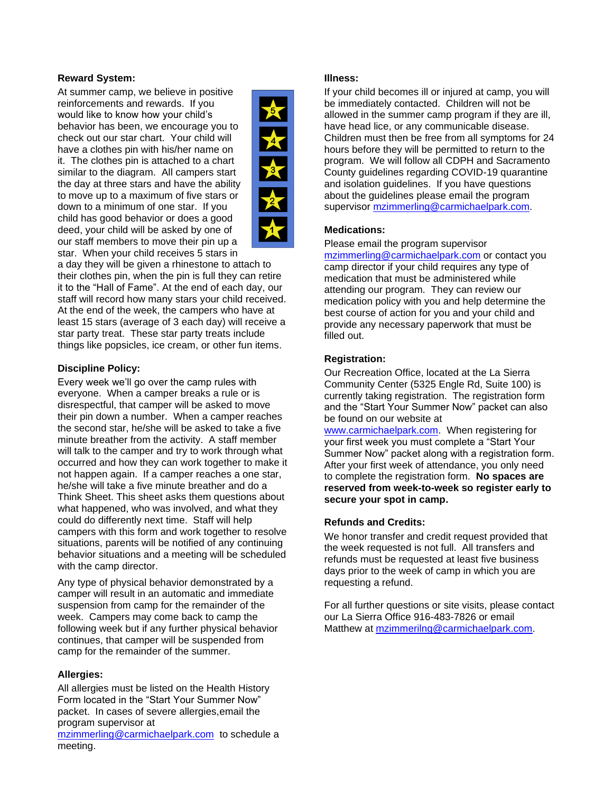#### **Reward System:**

At summer camp, we believe in positive reinforcements and rewards. If you would like to know how your child's behavior has been, we encourage you to check out our star chart. Your child will have a clothes pin with his/her name on it. The clothes pin is attached to a chart similar to the diagram. All campers start the day at three stars and have the ability to move up to a maximum of five stars or down to a minimum of one star. If you child has good behavior or does a good deed, your child will be asked by one of our staff members to move their pin up a star. When your child receives 5 stars in



a day they will be given a rhinestone to attach to their clothes pin, when the pin is full they can retire it to the "Hall of Fame". At the end of each day, our staff will record how many stars your child received. At the end of the week, the campers who have at least 15 stars (average of 3 each day) will receive a star party treat. These star party treats include things like popsicles, ice cream, or other fun items.

#### **Discipline Policy:**

Every week we'll go over the camp rules with everyone. When a camper breaks a rule or is disrespectful, that camper will be asked to move their pin down a number. When a camper reaches the second star, he/she will be asked to take a five minute breather from the activity. A staff member will talk to the camper and try to work through what occurred and how they can work together to make it not happen again. If a camper reaches a one star, he/she will take a five minute breather and do a Think Sheet. This sheet asks them questions about what happened, who was involved, and what they could do differently next time. Staff will help campers with this form and work together to resolve situations, parents will be notified of any continuing behavior situations and a meeting will be scheduled with the camp director.

Any type of physical behavior demonstrated by a camper will result in an automatic and immediate suspension from camp for the remainder of the week. Campers may come back to camp the following week but if any further physical behavior continues, that camper will be suspended from camp for the remainder of the summer.

#### **Allergies:**

All allergies must be listed on the Health History Form located in the "Start Your Summer Now" packet. In cases of severe allergies,email the program supervisor at

[mzimmerling@carmichaelpark.com](mailto:mzimmerling@carmichaelpark.com) to schedule a meeting.

#### **Illness:**

If your child becomes ill or injured at camp, you will be immediately contacted. Children will not be allowed in the summer camp program if they are ill, have head lice, or any communicable disease. Children must then be free from all symptoms for 24 hours before they will be permitted to return to the program. We will follow all CDPH and Sacramento County guidelines regarding COVID-19 quarantine and isolation guidelines. If you have questions about the guidelines please email the program supervisor [mzimmerling@carmichaelpark.com.](mailto:mzimmerling@carmichaelpark.com)

#### **Medications:**

Please email the program supervisor

[mzimmerling@carmichaelpark.com](mailto:mzimmerling@carmichaelpark.com) or contact you camp director if your child requires any type of medication that must be administered while attending our program. They can review our medication policy with you and help determine the best course of action for you and your child and provide any necessary paperwork that must be filled out.

#### **Registration:**

Our Recreation Office, located at the La Sierra Community Center (5325 Engle Rd, Suite 100) is currently taking registration. The registration form and the "Start Your Summer Now" packet can also be found on our website at [www.carmichaelpark.com.](http://www.carmichaelpark.com/) When registering for your first week you must complete a "Start Your Summer Now" packet along with a registration form. After your first week of attendance, you only need to complete the registration form. **No spaces are reserved from week-to-week so register early to secure your spot in camp.** 

#### **Refunds and Credits:**

We honor transfer and credit request provided that the week requested is not full. All transfers and refunds must be requested at least five business days prior to the week of camp in which you are requesting a refund.

For all further questions or site visits, please contact our La Sierra Office 916-483-7826 or email Matthew at [mzimmerilng@carmichaelpark.com.](mailto:mzimmerilng@carmichaelpark.com)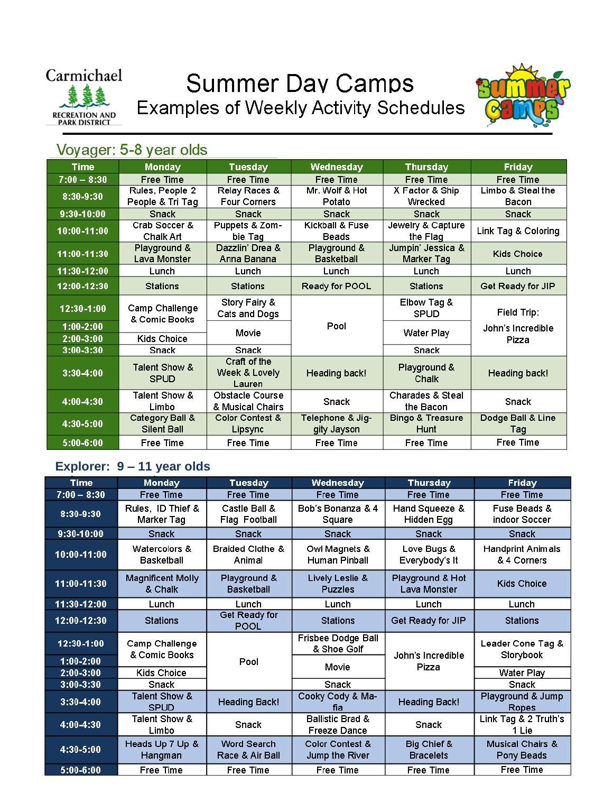

## **Summer Day Camps Examples of Weekly Activity Schedules**



## Voyager: 5-8 year olds

| <b>Time</b>   | <b>Monday</b>                                         | Tuesday                          | Wednesday         | Thursday                    | <b>Friday</b>              |
|---------------|-------------------------------------------------------|----------------------------------|-------------------|-----------------------------|----------------------------|
| $7:00 - 8:30$ | Free Time                                             | <b>Free Time</b>                 | <b>Free Time</b>  | Free Time                   | <b>Free Time</b>           |
| 8:30-9:30     | Rules, People 2                                       | Relay Races &                    | Mr. Wolf & Hot    | X Factor & Ship             | Limbo & Steal the          |
|               | People & Tri Tag                                      | Four Corners                     | Potato            | Wrecked                     | Bacon                      |
| 9:30-10:00    | <b>Snack</b>                                          | <b>Snack</b>                     | <b>Snack</b>      | <b>Snack</b>                | <b>Snack</b>               |
| 10:00-11:00   | Crab Soccer &                                         | Puppets & Zom-                   | Kickball & Fuse   | Jewelry & Capture           | Link Tag & Coloring        |
|               | Chalk Art                                             | bie Tag                          | <b>Beads</b>      | the Flag                    |                            |
| 11:00-11:30   | Playground &                                          | Dazzlin' Drea &                  | Playground &      | Jumpin' Jessica &           | <b>Kids Choice</b>         |
|               | Lava Monster                                          | Anna Banana                      | <b>Basketball</b> | Marker Tag                  |                            |
| 11:30-12:00   | Lunch                                                 | Lunch                            | Lunch             | Lunch                       | Lunch                      |
| 12:00-12:30   | <b>Stations</b>                                       | <b>Stations</b>                  | Ready for POOL    | <b>Stations</b>             | Get Ready for JIP          |
| 12:30-1:00    | Camp Challenge<br>& Comic Books<br><b>Kids Choice</b> | Story Fairy &                    | Pool              | Elbow Tag &                 |                            |
|               |                                                       | Cats and Dogs                    |                   | <b>SPUD</b>                 | Field Trip:                |
| $1:00 - 2:00$ |                                                       | Movie                            |                   | Water Play                  | John's Incredible<br>Pizza |
| $2:00-3:00$   |                                                       |                                  |                   |                             |                            |
| $3:00 - 3:30$ | Snack                                                 | Snack                            |                   | Snack                       |                            |
| $3:30-4:00$   | Talent Show &<br><b>SPUD</b>                          | Craft of the                     | Heading back!     | Playground &<br>Chalk       |                            |
|               |                                                       | Week & Lovely                    |                   |                             | Heading back!              |
|               | Talent Show &                                         | Lauren<br><b>Obstacle Course</b> |                   | <b>Charades &amp; Steal</b> |                            |
| 4:00-4:30     | Limbo                                                 | & Musical Chairs                 | <b>Snack</b>      | the Bacon                   | <b>Snack</b>               |
|               | Category Ball &                                       | <b>Color Contest &amp;</b>       | Telephone & Jig-  | <b>Bingo &amp; Treasure</b> | Dodge Ball & Line          |
| 4:30-5:00     | <b>Silent Ball</b>                                    | Lipsync                          | gity Jayson       | Hunt                        | Tag                        |
| 5:00-6:00     | Free Time                                             | Free Time                        | <b>Free Time</b>  | Free Time                   | Free Time                  |
|               |                                                       |                                  |                   |                             |                            |

### **Explorer: 9 – 11 year olds**

| <b>Time</b>    | <b>Monday</b>                                         | Tuesday                               | Wednesday                                          | <b>Thursday</b>                  | <b>Friday</b>                             |
|----------------|-------------------------------------------------------|---------------------------------------|----------------------------------------------------|----------------------------------|-------------------------------------------|
| $7:00 - 8:30$  | Free Time                                             | <b>Free Time</b>                      | <b>Free Time</b>                                   | <b>Free Time</b>                 | <b>Free Time</b>                          |
| 8:30-9:30      | Rules, ID Thief &<br>Marker Tag                       | Castle Ball &<br><b>Flag Football</b> | Bob's Bonanza & 4<br>Square                        | Hand Squeeze &<br>Hidden Egg     | Fuse Beads &<br>indoor Soccer             |
| 9:30-10:00     | <b>Snack</b>                                          | Snack                                 | Snack                                              | <b>Snack</b>                     | Snack                                     |
| 10:00-11:00    | Watercolors &<br><b>Basketball</b>                    | <b>Braided Clothe &amp;</b><br>Animal | Owl Magnets &<br>Human Pinball                     | Love Bugs &<br>Everybody's It    | <b>Handprint Animals</b><br>& 4 Corners   |
| 11:00-11:30    | <b>Magnificent Molly</b><br>& Chalk                   | Playground &<br><b>Basketball</b>     | Lively Leslie &<br><b>Puzzles</b>                  | Playground & Hot<br>Lava Monster | <b>Kids Choice</b>                        |
| 11:30-12:00    | Lunch                                                 | Lunch                                 | Lunch                                              | Lunch                            | Lunch                                     |
| 12:00-12:30    | <b>Stations</b>                                       | Get Ready for<br><b>POOL</b>          | <b>Stations</b>                                    | Get Ready for JIP                | <b>Stations</b>                           |
| $12:30 - 1:00$ | Camp Challenge<br>& Comic Books<br><b>Kids Choice</b> | Pool                                  | Frisbee Dodge Ball<br>& Shoe Golf                  | John's Incredible<br>Pizza       | Leader Cone Tag &<br>Storybook            |
| $1:00-2:00$    |                                                       |                                       | Movie                                              |                                  |                                           |
| $2:00-3:00$    |                                                       |                                       |                                                    |                                  | Water Play                                |
| $3:00-3:30$    | Snack                                                 |                                       | <b>Snack</b>                                       |                                  | Snack                                     |
| $3:30-4:00$    | Talent Show &<br><b>SPUD</b>                          | <b>Heading Back!</b>                  | Cooky Cody & Ma-<br>fіa                            | <b>Heading Back!</b>             | Playground & Jump<br><b>Ropes</b>         |
| 4:00-4:30      | Talent Show &<br>Limbo                                | <b>Snack</b>                          | <b>Ballistic Brad &amp;</b><br><b>Freeze Dance</b> | <b>Snack</b>                     | Link Tag & 2 Truth's<br>1 Lie             |
| 4:30-5:00      | Heads Up 7 Up &<br>Hangman                            | Word Search<br>Race & Air Ball        | <b>Color Contest &amp;</b><br>Jump the River       | Big Chief &<br><b>Bracelets</b>  | <b>Musical Chairs &amp;</b><br>Pony Beads |
| 5:00-6:00      | Free Time                                             | <b>Free Time</b>                      | <b>Free Time</b>                                   | <b>Free Time</b>                 | Free Time                                 |